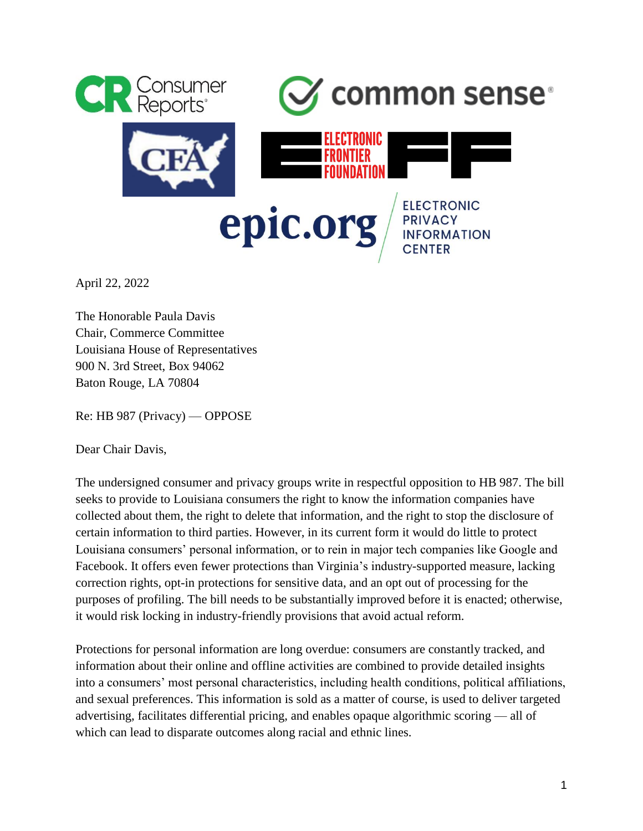

April 22, 2022

The Honorable Paula Davis Chair, Commerce Committee Louisiana House of Representatives 900 N. 3rd Street, Box 94062 Baton Rouge, LA 70804

Re: HB 987 (Privacy) — OPPOSE

Dear Chair Davis,

The undersigned consumer and privacy groups write in respectful opposition to HB 987. The bill seeks to provide to Louisiana consumers the right to know the information companies have collected about them, the right to delete that information, and the right to stop the disclosure of certain information to third parties. However, in its current form it would do little to protect Louisiana consumers' personal information, or to rein in major tech companies like Google and Facebook. It offers even fewer protections than Virginia's industry-supported measure, lacking correction rights, opt-in protections for sensitive data, and an opt out of processing for the purposes of profiling. The bill needs to be substantially improved before it is enacted; otherwise, it would risk locking in industry-friendly provisions that avoid actual reform.

Protections for personal information are long overdue: consumers are constantly tracked, and information about their online and offline activities are combined to provide detailed insights into a consumers' most personal characteristics, including health conditions, political affiliations, and sexual preferences. This information is sold as a matter of course, is used to deliver targeted advertising, facilitates differential pricing, and enables opaque algorithmic scoring — all of which can lead to disparate outcomes along racial and ethnic lines.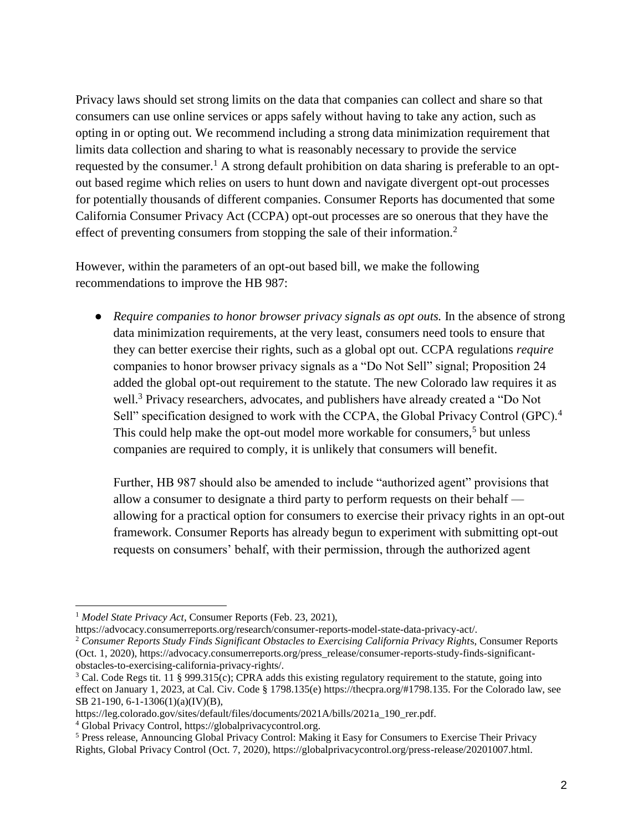Privacy laws should set strong limits on the data that companies can collect and share so that consumers can use online services or apps safely without having to take any action, such as opting in or opting out. We recommend including a strong data minimization requirement that limits data collection and sharing to what is reasonably necessary to provide the service requested by the consumer.<sup>1</sup> A strong default prohibition on data sharing is preferable to an optout based regime which relies on users to hunt down and navigate divergent opt-out processes for potentially thousands of different companies. Consumer Reports has documented that some California Consumer Privacy Act (CCPA) opt-out processes are so onerous that they have the effect of preventing consumers from stopping the sale of their information.<sup>2</sup>

However, within the parameters of an opt-out based bill, we make the following recommendations to improve the HB 987:

● *Require companies to honor browser privacy signals as opt outs.* In the absence of strong data minimization requirements, at the very least, consumers need tools to ensure that they can better exercise their rights, such as a global opt out. CCPA regulations *require* companies to honor browser privacy signals as a "Do Not Sell" signal; Proposition 24 added the global opt-out requirement to the statute. The new Colorado law requires it as well.<sup>3</sup> Privacy researchers, advocates, and publishers have already created a "Do Not Sell" specification designed to work with the CCPA, the Global Privacy Control (GPC).<sup>4</sup> This could help make the opt-out model more workable for consumers,<sup>5</sup> but unless companies are required to comply, it is unlikely that consumers will benefit.

Further, HB 987 should also be amended to include "authorized agent" provisions that allow a consumer to designate a third party to perform requests on their behalf allowing for a practical option for consumers to exercise their privacy rights in an opt-out framework. Consumer Reports has already begun to experiment with submitting opt-out requests on consumers' behalf, with their permission, through the authorized agent

<sup>1</sup> *Model State Privacy Act*, Consumer Reports (Feb. 23, 2021),

https://advocacy.consumerreports.org/research/consumer-reports-model-state-data-privacy-act/.

<sup>2</sup> *Consumer Reports Study Finds Significant Obstacles to Exercising California Privacy Right*s, Consumer Reports (Oct. 1, 2020), https://advocacy.consumerreports.org/press\_release/consumer-reports-study-finds-significantobstacles-to-exercising-california-privacy-rights/.

<sup>&</sup>lt;sup>3</sup> Cal. Code Regs tit. 11 § 999.315(c); CPRA adds this existing regulatory requirement to the statute, going into effect on January 1, 2023, at Cal. Civ. Code § 1798.135(e) https://thecpra.org/#1798.135. For the Colorado law, see SB 21-190, 6-1-1306(1)(a)(IV)(B),

https://leg.colorado.gov/sites/default/files/documents/2021A/bills/2021a\_190\_rer.pdf.

<sup>4</sup> Global Privacy Control, https://globalprivacycontrol.org.

<sup>5</sup> Press release, Announcing Global Privacy Control: Making it Easy for Consumers to Exercise Their Privacy Rights, Global Privacy Control (Oct. 7, 2020), https://globalprivacycontrol.org/press-release/20201007.html.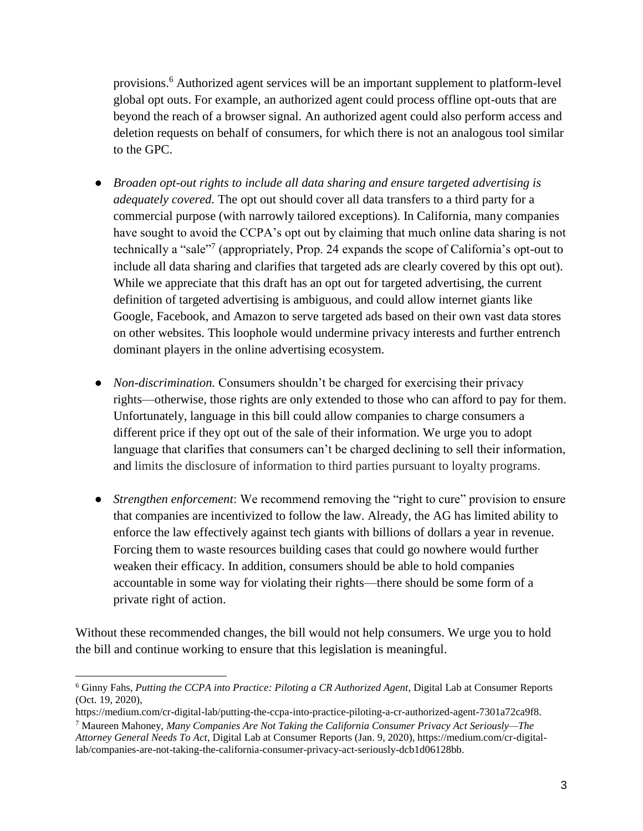provisions.<sup>6</sup> Authorized agent services will be an important supplement to platform-level global opt outs. For example, an authorized agent could process offline opt-outs that are beyond the reach of a browser signal. An authorized agent could also perform access and deletion requests on behalf of consumers, for which there is not an analogous tool similar to the GPC.

- *Broaden opt-out rights to include all data sharing and ensure targeted advertising is adequately covered.* The opt out should cover all data transfers to a third party for a commercial purpose (with narrowly tailored exceptions). In California, many companies have sought to avoid the CCPA's opt out by claiming that much online data sharing is not technically a "sale"<sup>7</sup> (appropriately, Prop. 24 expands the scope of California's opt-out to include all data sharing and clarifies that targeted ads are clearly covered by this opt out). While we appreciate that this draft has an opt out for targeted advertising, the current definition of targeted advertising is ambiguous, and could allow internet giants like Google, Facebook, and Amazon to serve targeted ads based on their own vast data stores on other websites. This loophole would undermine privacy interests and further entrench dominant players in the online advertising ecosystem.
- *Non-discrimination.* Consumers shouldn't be charged for exercising their privacy rights—otherwise, those rights are only extended to those who can afford to pay for them. Unfortunately, language in this bill could allow companies to charge consumers a different price if they opt out of the sale of their information. We urge you to adopt language that clarifies that consumers can't be charged declining to sell their information, and limits the disclosure of information to third parties pursuant to loyalty programs.
- *Strengthen enforcement*: We recommend removing the "right to cure" provision to ensure that companies are incentivized to follow the law. Already, the AG has limited ability to enforce the law effectively against tech giants with billions of dollars a year in revenue. Forcing them to waste resources building cases that could go nowhere would further weaken their efficacy. In addition, consumers should be able to hold companies accountable in some way for violating their rights—there should be some form of a private right of action.

Without these recommended changes, the bill would not help consumers. We urge you to hold the bill and continue working to ensure that this legislation is meaningful.

<sup>6</sup> Ginny Fahs, *Putting the CCPA into Practice: Piloting a CR Authorized Agent*, Digital Lab at Consumer Reports (Oct. 19, 2020),

https://medium.com/cr-digital-lab/putting-the-ccpa-into-practice-piloting-a-cr-authorized-agent-7301a72ca9f8.

<sup>7</sup> Maureen Mahoney, *Many Companies Are Not Taking the California Consumer Privacy Act Seriously—The Attorney General Needs To Act*, Digital Lab at Consumer Reports (Jan. 9, 2020), https://medium.com/cr-digitallab/companies-are-not-taking-the-california-consumer-privacy-act-seriously-dcb1d06128bb.